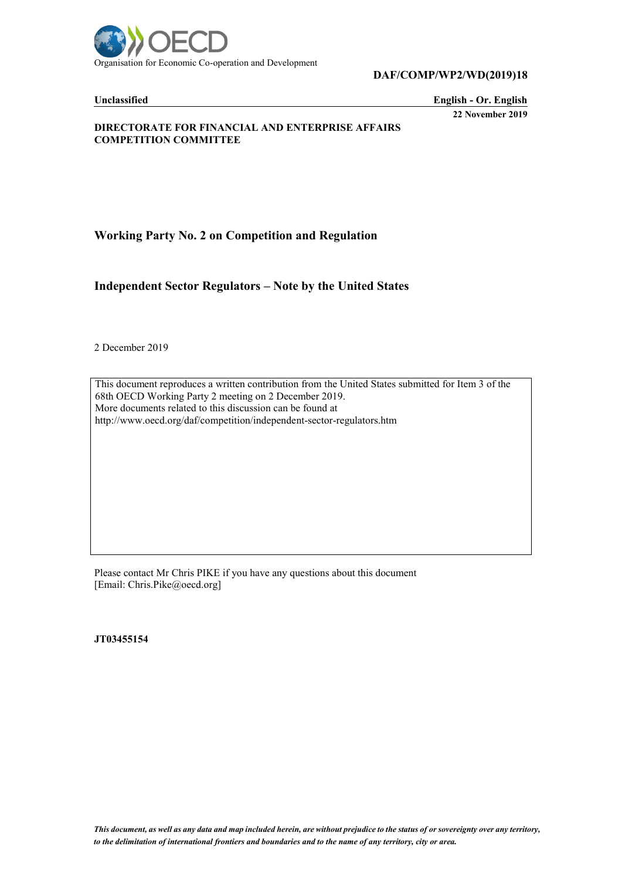

**DAF/COMP/WP2/WD(2019)18**

**Unclassified English - Or. English 22 November 2019**

**DIRECTORATE FOR FINANCIAL AND ENTERPRISE AFFAIRS COMPETITION COMMITTEE**

**Working Party No. 2 on Competition and Regulation**

**Independent Sector Regulators – Note by the United States**

2 December 2019

This document reproduces a written contribution from the United States submitted for Item 3 of the 68th OECD Working Party 2 meeting on 2 December 2019. More documents related to this discussion can be found at http://www.oecd.org/daf/competition/independent-sector-regulators.htm

Please contact Mr Chris PIKE if you have any questions about this document [Email: Chris.Pike@oecd.org]

**JT03455154**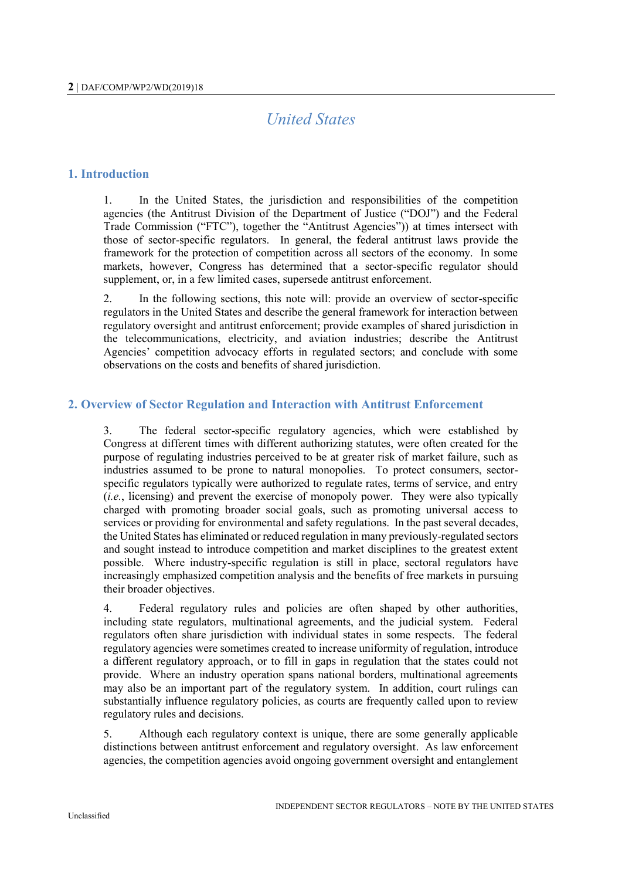# *United States*

# **1. Introduction**

1. In the United States, the jurisdiction and responsibilities of the competition agencies (the Antitrust Division of the Department of Justice ("DOJ") and the Federal Trade Commission ("FTC"), together the "Antitrust Agencies")) at times intersect with those of sector-specific regulators. In general, the federal antitrust laws provide the framework for the protection of competition across all sectors of the economy. In some markets, however, Congress has determined that a sector-specific regulator should supplement, or, in a few limited cases, supersede antitrust enforcement.

2. In the following sections, this note will: provide an overview of sector-specific regulators in the United States and describe the general framework for interaction between regulatory oversight and antitrust enforcement; provide examples of shared jurisdiction in the telecommunications, electricity, and aviation industries; describe the Antitrust Agencies' competition advocacy efforts in regulated sectors; and conclude with some observations on the costs and benefits of shared jurisdiction.

# **2. Overview of Sector Regulation and Interaction with Antitrust Enforcement**

3. The federal sector-specific regulatory agencies, which were established by Congress at different times with different authorizing statutes, were often created for the purpose of regulating industries perceived to be at greater risk of market failure, such as industries assumed to be prone to natural monopolies. To protect consumers, sectorspecific regulators typically were authorized to regulate rates, terms of service, and entry (*i.e.*, licensing) and prevent the exercise of monopoly power. They were also typically charged with promoting broader social goals, such as promoting universal access to services or providing for environmental and safety regulations. In the past several decades, the United States has eliminated or reduced regulation in many previously-regulated sectors and sought instead to introduce competition and market disciplines to the greatest extent possible. Where industry-specific regulation is still in place, sectoral regulators have increasingly emphasized competition analysis and the benefits of free markets in pursuing their broader objectives.

4. Federal regulatory rules and policies are often shaped by other authorities, including state regulators, multinational agreements, and the judicial system. Federal regulators often share jurisdiction with individual states in some respects. The federal regulatory agencies were sometimes created to increase uniformity of regulation, introduce a different regulatory approach, or to fill in gaps in regulation that the states could not provide. Where an industry operation spans national borders, multinational agreements may also be an important part of the regulatory system. In addition, court rulings can substantially influence regulatory policies, as courts are frequently called upon to review regulatory rules and decisions.

5. Although each regulatory context is unique, there are some generally applicable distinctions between antitrust enforcement and regulatory oversight. As law enforcement agencies, the competition agencies avoid ongoing government oversight and entanglement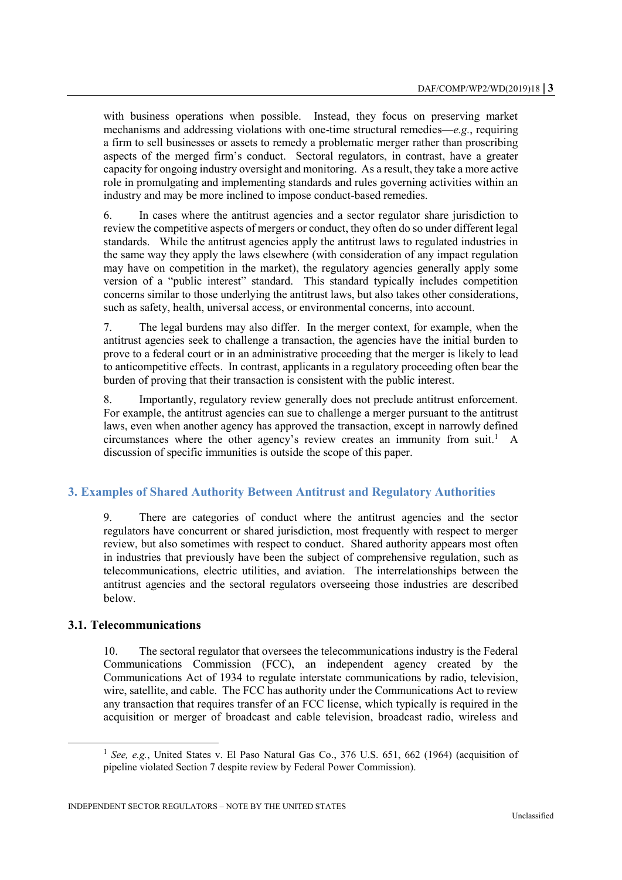with business operations when possible. Instead, they focus on preserving market mechanisms and addressing violations with one-time structural remedies—*e.g.*, requiring a firm to sell businesses or assets to remedy a problematic merger rather than proscribing aspects of the merged firm's conduct. Sectoral regulators, in contrast, have a greater capacity for ongoing industry oversight and monitoring. As a result, they take a more active role in promulgating and implementing standards and rules governing activities within an industry and may be more inclined to impose conduct-based remedies.

6. In cases where the antitrust agencies and a sector regulator share jurisdiction to review the competitive aspects of mergers or conduct, they often do so under different legal standards. While the antitrust agencies apply the antitrust laws to regulated industries in the same way they apply the laws elsewhere (with consideration of any impact regulation may have on competition in the market), the regulatory agencies generally apply some version of a "public interest" standard. This standard typically includes competition concerns similar to those underlying the antitrust laws, but also takes other considerations, such as safety, health, universal access, or environmental concerns, into account.

7. The legal burdens may also differ. In the merger context, for example, when the antitrust agencies seek to challenge a transaction, the agencies have the initial burden to prove to a federal court or in an administrative proceeding that the merger is likely to lead to anticompetitive effects. In contrast, applicants in a regulatory proceeding often bear the burden of proving that their transaction is consistent with the public interest.

8. Importantly, regulatory review generally does not preclude antitrust enforcement. For example, the antitrust agencies can sue to challenge a merger pursuant to the antitrust laws, even when another agency has approved the transaction, except in narrowly defined circumstances where the other agency's review creates an immunity from suit.<sup>1</sup> A discussion of specific immunities is outside the scope of this paper.

# **3. Examples of Shared Authority Between Antitrust and Regulatory Authorities**

9. There are categories of conduct where the antitrust agencies and the sector regulators have concurrent or shared jurisdiction, most frequently with respect to merger review, but also sometimes with respect to conduct. Shared authority appears most often in industries that previously have been the subject of comprehensive regulation, such as telecommunications, electric utilities, and aviation. The interrelationships between the antitrust agencies and the sectoral regulators overseeing those industries are described below.

#### **3.1. Telecommunications**

l

10. The sectoral regulator that oversees the telecommunications industry is the Federal Communications Commission (FCC), an independent agency created by the Communications Act of 1934 to regulate interstate communications by radio, television, wire, satellite, and cable. The FCC has authority under the Communications Act to review any transaction that requires transfer of an FCC license, which typically is required in the acquisition or merger of broadcast and cable television, broadcast radio, wireless and

<sup>&</sup>lt;sup>1</sup> See, e.g., United States v. El Paso Natural Gas Co., 376 U.S. 651, 662 (1964) (acquisition of pipeline violated Section 7 despite review by Federal Power Commission).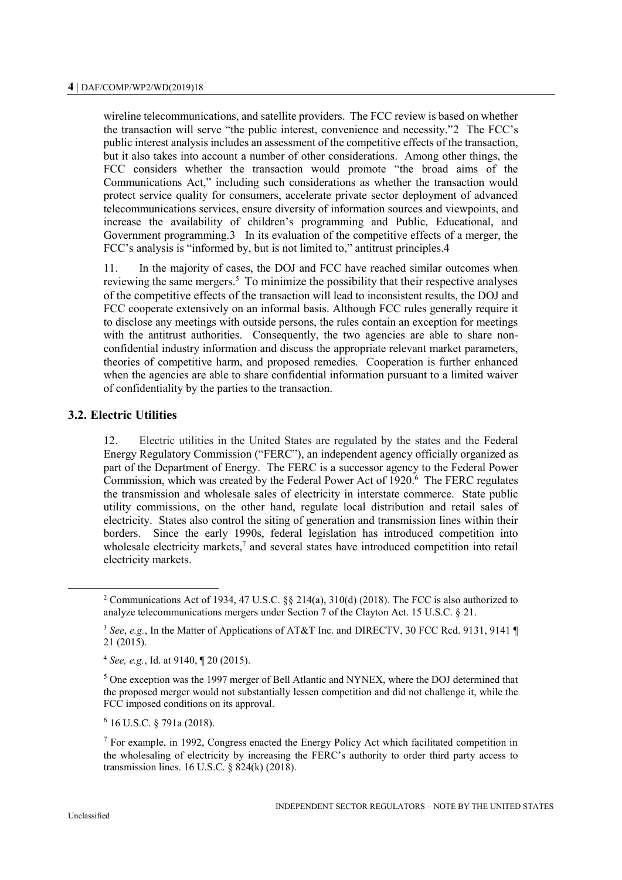wireline telecommunications, and satellite providers. The FCC review is based on whether the transaction will serve "the public interest, convenience and necessity."2 The FCC's public interest analysis includes an assessment of the competitive effects of the transaction, but it also takes into account a number of other considerations. Among other things, the FCC considers whether the transaction would promote "the broad aims of the Communications Act," including such considerations as whether the transaction would protect service quality for consumers, accelerate private sector deployment of advanced telecommunications services, ensure diversity of information sources and viewpoints, and increase the availability of children's programming and Public, Educational, and Government programming.3 In its evaluation of the competitive effects of a merger, the FCC's analysis is "informed by, but is not limited to," antitrust principles.4

11. In the majority of cases, the DOJ and FCC have reached similar outcomes when reviewing the same mergers.<sup>5</sup> To minimize the possibility that their respective analyses of the competitive effects of the transaction will lead to inconsistent results, the DOJ and FCC cooperate extensively on an informal basis. Although FCC rules generally require it to disclose any meetings with outside persons, the rules contain an exception for meetings with the antitrust authorities. Consequently, the two agencies are able to share nonconfidential industry information and discuss the appropriate relevant market parameters, theories of competitive harm, and proposed remedies. Cooperation is further enhanced when the agencies are able to share confidential information pursuant to a limited waiver of confidentiality by the parties to the transaction.

## **3.2. Electric Utilities**

12. Electric utilities in the United States are regulated by the states and the Federal Energy Regulatory Commission ("FERC"), an independent agency officially organized as part of the Department of Energy. The FERC is a successor agency to the Federal Power Commission, which was created by the Federal Power Act of  $1920$ <sup>6</sup>. The FERC regulates the transmission and wholesale sales of electricity in interstate commerce. State public utility commissions, on the other hand, regulate local distribution and retail sales of electricity. States also control the siting of generation and transmission lines within their borders. Since the early 1990s, federal legislation has introduced competition into wholesale electricity markets,<sup>7</sup> and several states have introduced competition into retail electricity markets.

6 16 U.S.C. § 791a (2018).

<sup>2</sup> Communications Act of 1934, 47 U.S.C. §§ 214(a), 310(d) (2018). The FCC is also authorized to analyze telecommunications mergers under Section 7 of the Clayton Act. 15 U.S.C. § 21.

<sup>3</sup> *See*, *e.g.*, In the Matter of Applications of AT&T Inc. and DIRECTV, 30 FCC Rcd. 9131, 9141 ¶ 21 (2015).

<sup>4</sup> *See, e.g.*, Id. at 9140, ¶ 20 (2015).

<sup>&</sup>lt;sup>5</sup> One exception was the 1997 merger of Bell Atlantic and NYNEX, where the DOJ determined that the proposed merger would not substantially lessen competition and did not challenge it, while the FCC imposed conditions on its approval.

<sup>7</sup> For example, in 1992, Congress enacted the Energy Policy Act which facilitated competition in the wholesaling of electricity by increasing the FERC's authority to order third party access to transmission lines. 16 U.S.C. § 824(k) (2018).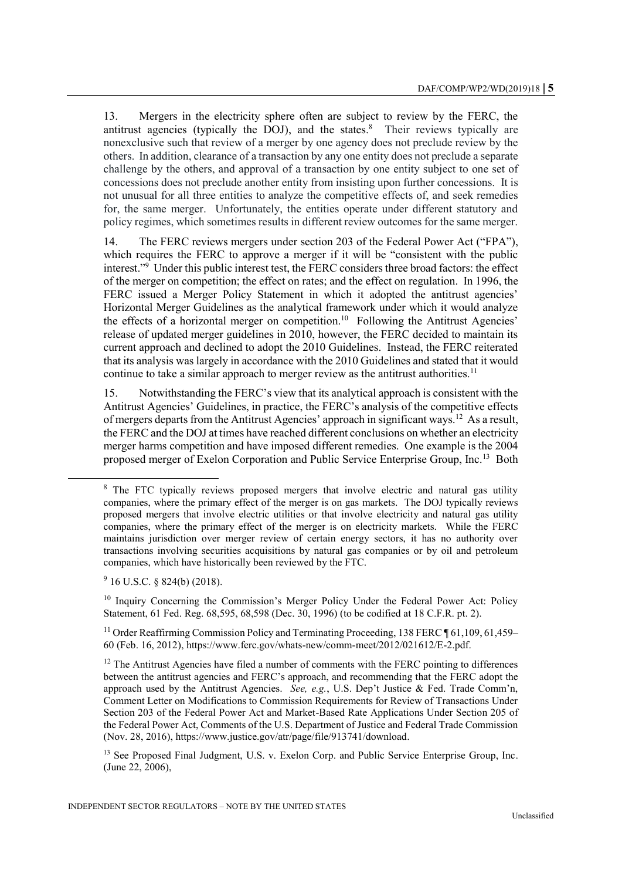13. Mergers in the electricity sphere often are subject to review by the FERC, the antitrust agencies (typically the DOJ), and the states.<sup>8</sup> Their reviews typically are nonexclusive such that review of a merger by one agency does not preclude review by the others. In addition, clearance of a transaction by any one entity does not preclude a separate challenge by the others, and approval of a transaction by one entity subject to one set of concessions does not preclude another entity from insisting upon further concessions. It is not unusual for all three entities to analyze the competitive effects of, and seek remedies for, the same merger. Unfortunately, the entities operate under different statutory and policy regimes, which sometimes results in different review outcomes for the same merger.

14. The FERC reviews mergers under section 203 of the Federal Power Act ("FPA"), which requires the FERC to approve a merger if it will be "consistent with the public interest."<sup>9</sup> Under this public interest test, the FERC considers three broad factors: the effect of the merger on competition; the effect on rates; and the effect on regulation. In 1996, the FERC issued a Merger Policy Statement in which it adopted the antitrust agencies' Horizontal Merger Guidelines as the analytical framework under which it would analyze the effects of a horizontal merger on competition.<sup>10</sup> Following the Antitrust Agencies' release of updated merger guidelines in 2010, however, the FERC decided to maintain its current approach and declined to adopt the 2010 Guidelines. Instead, the FERC reiterated that its analysis was largely in accordance with the 2010 Guidelines and stated that it would continue to take a similar approach to merger review as the antitrust authorities.<sup>11</sup>

15. Notwithstanding the FERC's view that its analytical approach is consistent with the Antitrust Agencies' Guidelines, in practice, the FERC's analysis of the competitive effects of mergers departs from the Antitrust Agencies' approach in significant ways.<sup>12</sup> As a result, the FERC and the DOJ at times have reached different conclusions on whether an electricity merger harms competition and have imposed different remedies. One example is the 2004 proposed merger of Exelon Corporation and Public Service Enterprise Group, Inc.<sup>13</sup> Both

 $9$  16 U.S.C. § 824(b) (2018).

l

<sup>10</sup> Inquiry Concerning the Commission's Merger Policy Under the Federal Power Act: Policy Statement, 61 Fed. Reg. 68,595, 68,598 (Dec. 30, 1996) (to be codified at 18 C.F.R. pt. 2).

<sup>13</sup> See Proposed Final Judgment, U.S. v. Exelon Corp. and Public Service Enterprise Group, Inc. (June 22, 2006),

<sup>&</sup>lt;sup>8</sup> The FTC typically reviews proposed mergers that involve electric and natural gas utility companies, where the primary effect of the merger is on gas markets. The DOJ typically reviews proposed mergers that involve electric utilities or that involve electricity and natural gas utility companies, where the primary effect of the merger is on electricity markets. While the FERC maintains jurisdiction over merger review of certain energy sectors, it has no authority over transactions involving securities acquisitions by natural gas companies or by oil and petroleum companies, which have historically been reviewed by the FTC.

<sup>&</sup>lt;sup>11</sup> Order Reaffirming Commission Policy and Terminating Proceeding, 138 FERC  $\P$  61,109, 61,459– 60 (Feb. 16, 2012), https://www.ferc.gov/whats-new/comm-meet/2012/021612/E-2.pdf.

 $12$  The Antitrust Agencies have filed a number of comments with the FERC pointing to differences between the antitrust agencies and FERC's approach, and recommending that the FERC adopt the approach used by the Antitrust Agencies. *See, e.g.*, U.S. Dep't Justice & Fed. Trade Comm'n, Comment Letter on Modifications to Commission Requirements for Review of Transactions Under Section 203 of the Federal Power Act and Market-Based Rate Applications Under Section 205 of the Federal Power Act, Comments of the U.S. Department of Justice and Federal Trade Commission (Nov. 28, 2016), https://www.justice.gov/atr/page/file/913741/download.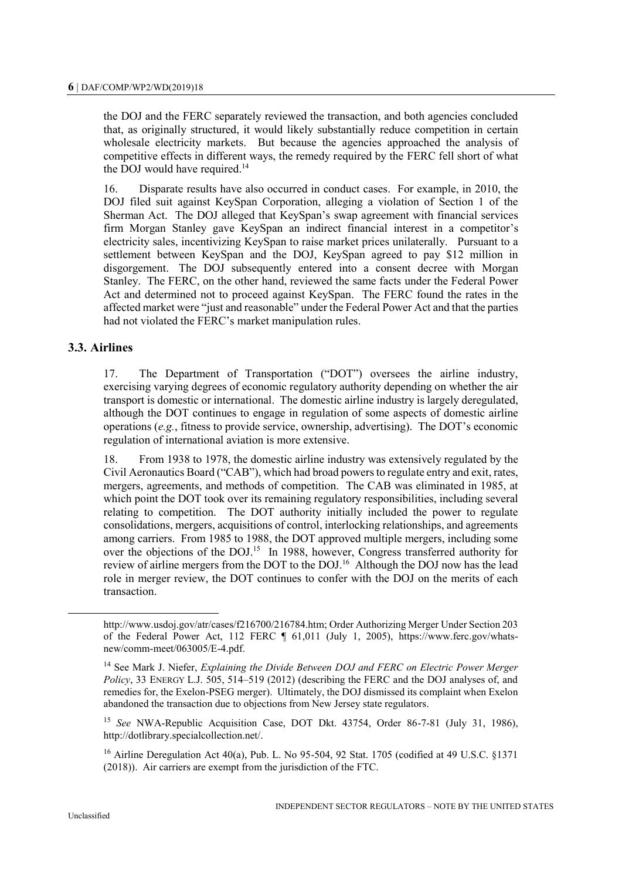the DOJ and the FERC separately reviewed the transaction, and both agencies concluded that, as originally structured, it would likely substantially reduce competition in certain wholesale electricity markets. But because the agencies approached the analysis of competitive effects in different ways, the remedy required by the FERC fell short of what the DOJ would have required.<sup>14</sup>

16. Disparate results have also occurred in conduct cases. For example, in 2010, the DOJ filed suit against KeySpan Corporation, alleging a violation of Section 1 of the Sherman Act. The DOJ alleged that KeySpan's swap agreement with financial services firm Morgan Stanley gave KeySpan an indirect financial interest in a competitor's electricity sales, incentivizing KeySpan to raise market prices unilaterally. Pursuant to a settlement between KeySpan and the DOJ, KeySpan agreed to pay \$12 million in disgorgement. The DOJ subsequently entered into a consent decree with Morgan Stanley. The FERC, on the other hand, reviewed the same facts under the Federal Power Act and determined not to proceed against KeySpan. The FERC found the rates in the affected market were "just and reasonable" under the Federal Power Act and that the parties had not violated the FERC's market manipulation rules.

## **3.3. Airlines**

17. The Department of Transportation ("DOT") oversees the airline industry, exercising varying degrees of economic regulatory authority depending on whether the air transport is domestic or international. The domestic airline industry is largely deregulated, although the DOT continues to engage in regulation of some aspects of domestic airline operations (*e.g.*, fitness to provide service, ownership, advertising). The DOT's economic regulation of international aviation is more extensive.

18. From 1938 to 1978, the domestic airline industry was extensively regulated by the Civil Aeronautics Board ("CAB"), which had broad powers to regulate entry and exit, rates, mergers, agreements, and methods of competition. The CAB was eliminated in 1985, at which point the DOT took over its remaining regulatory responsibilities, including several relating to competition. The DOT authority initially included the power to regulate consolidations, mergers, acquisitions of control, interlocking relationships, and agreements among carriers. From 1985 to 1988, the DOT approved multiple mergers, including some over the objections of the DOJ.<sup>15</sup> In 1988, however, Congress transferred authority for review of airline mergers from the DOT to the DOJ.<sup>16</sup> Although the DOJ now has the lead role in merger review, the DOT continues to confer with the DOJ on the merits of each transaction.

http://www.usdoj.gov/atr/cases/f216700/216784.htm; Order Authorizing Merger Under Section 203 of the Federal Power Act, 112 FERC ¶ 61,011 (July 1, 2005), https://www.ferc.gov/whatsnew/comm-meet/063005/E-4.pdf.

<sup>14</sup> See Mark J. Niefer, *Explaining the Divide Between DOJ and FERC on Electric Power Merger Policy*, 33 ENERGY L.J. 505, 514–519 (2012) (describing the FERC and the DOJ analyses of, and remedies for, the Exelon-PSEG merger). Ultimately, the DOJ dismissed its complaint when Exelon abandoned the transaction due to objections from New Jersey state regulators.

<sup>15</sup> *See* NWA-Republic Acquisition Case, DOT Dkt. 43754, Order 86-7-81 (July 31, 1986), http://dotlibrary.specialcollection.net/.

<sup>16</sup> Airline Deregulation Act 40(a), Pub. L. No 95-504, 92 Stat. 1705 (codified at 49 U.S.C. §1371 (2018)). Air carriers are exempt from the jurisdiction of the FTC.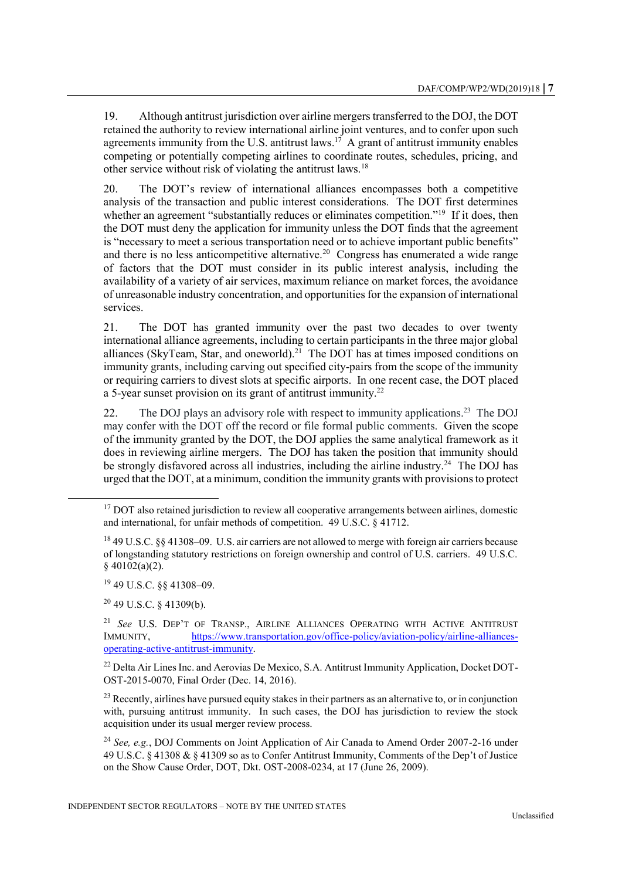19. Although antitrust jurisdiction over airline mergers transferred to the DOJ, the DOT retained the authority to review international airline joint ventures, and to confer upon such agreements immunity from the U.S. antitrust  $laws$ .<sup>17</sup> A grant of antitrust immunity enables competing or potentially competing airlines to coordinate routes, schedules, pricing, and other service without risk of violating the antitrust laws.<sup>18</sup>

20. The DOT's review of international alliances encompasses both a competitive analysis of the transaction and public interest considerations. The DOT first determines whether an agreement "substantially reduces or eliminates competition."<sup>19</sup> If it does, then the DOT must deny the application for immunity unless the DOT finds that the agreement is "necessary to meet a serious transportation need or to achieve important public benefits" and there is no less anticompetitive alternative.<sup>20</sup> Congress has enumerated a wide range of factors that the DOT must consider in its public interest analysis, including the availability of a variety of air services, maximum reliance on market forces, the avoidance of unreasonable industry concentration, and opportunities for the expansion of international services.

21. The DOT has granted immunity over the past two decades to over twenty international alliance agreements, including to certain participants in the three major global alliances (SkyTeam, Star, and oneworld).<sup>21</sup> The DOT has at times imposed conditions on immunity grants, including carving out specified city-pairs from the scope of the immunity or requiring carriers to divest slots at specific airports. In one recent case, the DOT placed a 5-year sunset provision on its grant of antitrust immunity.<sup>22</sup>

22. The DOJ plays an advisory role with respect to immunity applications.<sup>23</sup> The DOJ may confer with the DOT off the record or file formal public comments. Given the scope of the immunity granted by the DOT, the DOJ applies the same analytical framework as it does in reviewing airline mergers. The DOJ has taken the position that immunity should be strongly disfavored across all industries, including the airline industry.<sup>24</sup> The DOJ has urged that the DOT, at a minimum, condition the immunity grants with provisions to protect

<sup>20</sup> 49 U.S.C. § 41309(b).

 $17$  DOT also retained jurisdiction to review all cooperative arrangements between airlines, domestic and international, for unfair methods of competition. 49 U.S.C. § 41712.

<sup>18</sup> 49 U.S.C. §§ 41308–09. U.S. air carriers are not allowed to merge with foreign air carriers because of longstanding statutory restrictions on foreign ownership and control of U.S. carriers. 49 U.S.C. § 40102(a)(2).

<sup>19</sup> 49 U.S.C. §§ 41308–09.

<sup>21</sup> *See* U.S. DEP'T OF TRANSP., AIRLINE ALLIANCES OPERATING WITH ACTIVE ANTITRUST IMMUNITY, [https://www.transportation.gov/office-policy/aviation-policy/airline-alliances](https://www.transportation.gov/office-policy/aviation-policy/airline-alliances-operating-active-antitrust-immunity)[operating-active-antitrust-immunity.](https://www.transportation.gov/office-policy/aviation-policy/airline-alliances-operating-active-antitrust-immunity) 

<sup>&</sup>lt;sup>22</sup> Delta Air Lines Inc. and Aerovias De Mexico, S.A. Antitrust Immunity Application, Docket DOT-OST-2015-0070, Final Order (Dec. 14, 2016).

 $23$  Recently, airlines have pursued equity stakes in their partners as an alternative to, or in conjunction with, pursuing antitrust immunity. In such cases, the DOJ has jurisdiction to review the stock acquisition under its usual merger review process.

<sup>24</sup> *See, e.g.*, DOJ Comments on Joint Application of Air Canada to Amend Order 2007-2-16 under 49 U.S.C. § 41308 & § 41309 so as to Confer Antitrust Immunity, Comments of the Dep't of Justice on the Show Cause Order, DOT, Dkt. OST-2008-0234, at 17 (June 26, 2009).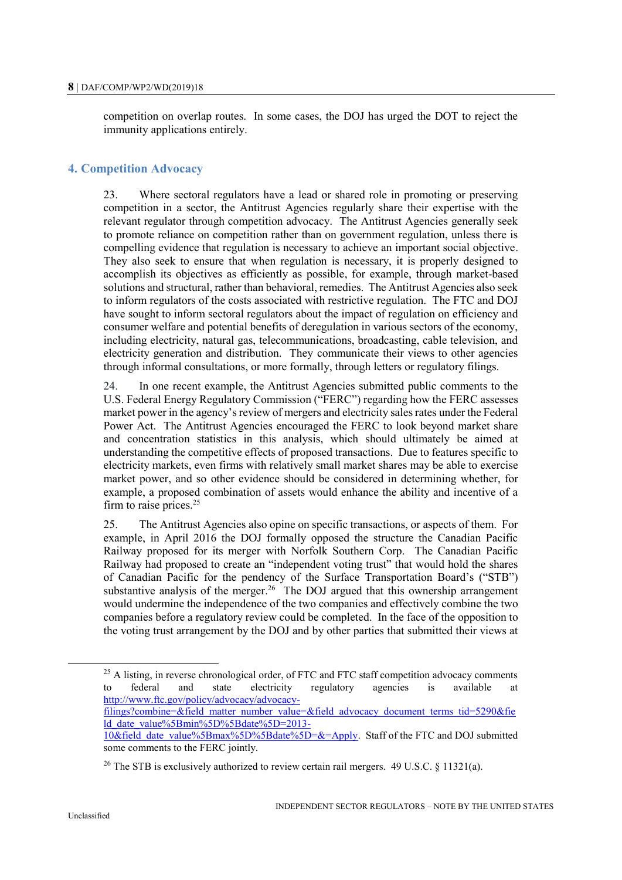competition on overlap routes. In some cases, the DOJ has urged the DOT to reject the immunity applications entirely.

## **4. Competition Advocacy**

23. Where sectoral regulators have a lead or shared role in promoting or preserving competition in a sector, the Antitrust Agencies regularly share their expertise with the relevant regulator through competition advocacy. The Antitrust Agencies generally seek to promote reliance on competition rather than on government regulation, unless there is compelling evidence that regulation is necessary to achieve an important social objective. They also seek to ensure that when regulation is necessary, it is properly designed to accomplish its objectives as efficiently as possible, for example, through market-based solutions and structural, rather than behavioral, remedies. The Antitrust Agencies also seek to inform regulators of the costs associated with restrictive regulation. The FTC and DOJ have sought to inform sectoral regulators about the impact of regulation on efficiency and consumer welfare and potential benefits of deregulation in various sectors of the economy, including electricity, natural gas, telecommunications, broadcasting, cable television, and electricity generation and distribution. They communicate their views to other agencies through informal consultations, or more formally, through letters or regulatory filings.

24. In one recent example, the Antitrust Agencies submitted public comments to the U.S. Federal Energy Regulatory Commission ("FERC") regarding how the FERC assesses market power in the agency's review of mergers and electricity sales rates under the Federal Power Act. The Antitrust Agencies encouraged the FERC to look beyond market share and concentration statistics in this analysis, which should ultimately be aimed at understanding the competitive effects of proposed transactions. Due to features specific to electricity markets, even firms with relatively small market shares may be able to exercise market power, and so other evidence should be considered in determining whether, for example, a proposed combination of assets would enhance the ability and incentive of a firm to raise prices.<sup>25</sup>

25. The Antitrust Agencies also opine on specific transactions, or aspects of them. For example, in April 2016 the DOJ formally opposed the structure the Canadian Pacific Railway proposed for its merger with Norfolk Southern Corp. The Canadian Pacific Railway had proposed to create an "independent voting trust" that would hold the shares of Canadian Pacific for the pendency of the Surface Transportation Board's ("STB") substantive analysis of the merger.<sup>26</sup> The DOJ argued that this ownership arrangement would undermine the independence of the two companies and effectively combine the two companies before a regulatory review could be completed. In the face of the opposition to the voting trust arrangement by the DOJ and by other parties that submitted their views at

[filings?combine=&field\\_matter\\_number\\_value=&field\\_advocacy\\_document\\_terms\\_tid=5290&fie](http://www.ftc.gov/policy/advocacy/advocacy-filings?combine=&field_matter_number_value=&field_advocacy_document_terms_tid=5290&field_date_value%5Bmin%5D%5Bdate%5D=2013-10&field_date_value%5Bmax%5D%5Bdate%5D=&=Apply) [ld\\_date\\_value%5Bmin%5D%5Bdate%5D=2013-](http://www.ftc.gov/policy/advocacy/advocacy-filings?combine=&field_matter_number_value=&field_advocacy_document_terms_tid=5290&field_date_value%5Bmin%5D%5Bdate%5D=2013-10&field_date_value%5Bmax%5D%5Bdate%5D=&=Apply)

 $25$  A listing, in reverse chronological order, of FTC and FTC staff competition advocacy comments to federal and state electricity regulatory agencies is available at [http://www.ftc.gov/policy/advocacy/advocacy-](http://www.ftc.gov/policy/advocacy/advocacy-filings?combine=&field_matter_number_value=&field_advocacy_document_terms_tid=5290&field_date_value%5Bmin%5D%5Bdate%5D=2013-10&field_date_value%5Bmax%5D%5Bdate%5D=&=Apply)

[<sup>10&</sup>amp;field\\_date\\_value%5Bmax%5D%5Bdate%5D=&=Apply.](http://www.ftc.gov/policy/advocacy/advocacy-filings?combine=&field_matter_number_value=&field_advocacy_document_terms_tid=5290&field_date_value%5Bmin%5D%5Bdate%5D=2013-10&field_date_value%5Bmax%5D%5Bdate%5D=&=Apply) Staff of the FTC and DOJ submitted some comments to the FERC jointly.

<sup>&</sup>lt;sup>26</sup> The STB is exclusively authorized to review certain rail mergers. 49 U.S.C. § 11321(a).